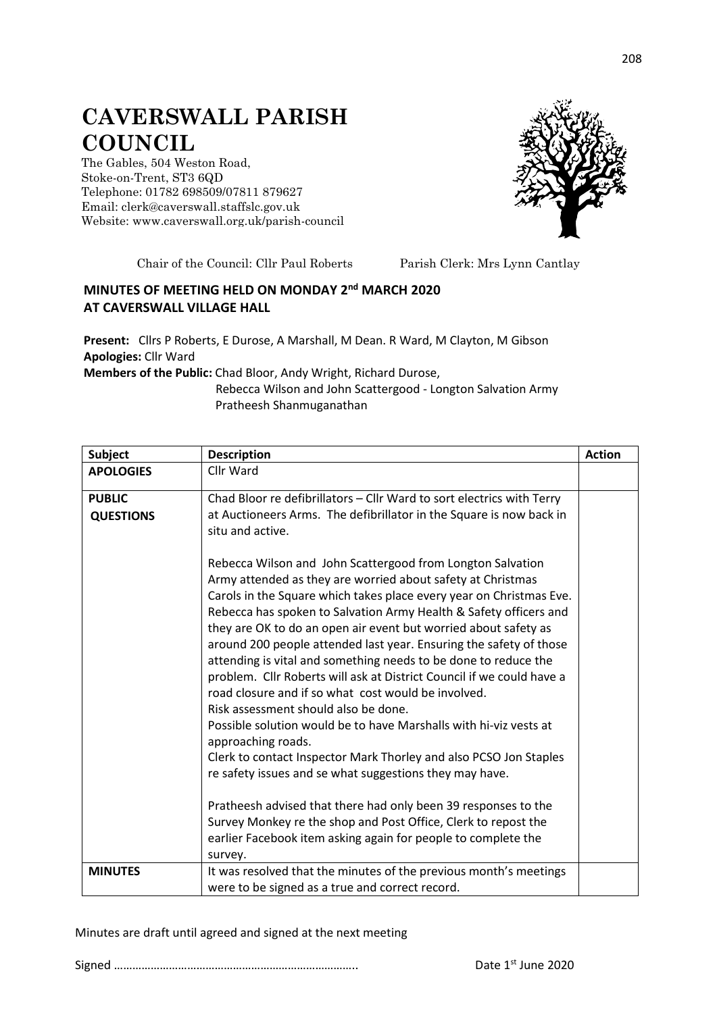## **CAVERSWALL PARISH COUNCIL**

The Gables, 504 Weston Road, Stoke-on-Trent, ST3 6QD Telephone: 01782 698509/07811 879627 Email: clerk@caverswall.staffslc.gov.uk Website: [www.c](http://www.dilhorneparishcouncil.co.uk/)averswall.org.uk/parish-council



Chair of the Council: Cllr Paul Roberts Parish Clerk: Mrs Lynn Cantlay

## **MINUTES OF MEETING HELD ON MONDAY 2 nd MARCH 2020 AT CAVERSWALL VILLAGE HALL**

**Present:** Cllrs P Roberts, E Durose, A Marshall, M Dean. R Ward, M Clayton, M Gibson **Apologies:** Cllr Ward

**Members of the Public:** Chad Bloor, Andy Wright, Richard Durose,

Rebecca Wilson and John Scattergood - Longton Salvation Army Pratheesh Shanmuganathan

| <b>Subject</b>                    | <b>Description</b>                                                                                                                                                                                                                                                                                                                                                                                                                                                                                                                                                                                                                                                                                                                                                                                                                                                                                                                                                                                                                                                                        | <b>Action</b> |
|-----------------------------------|-------------------------------------------------------------------------------------------------------------------------------------------------------------------------------------------------------------------------------------------------------------------------------------------------------------------------------------------------------------------------------------------------------------------------------------------------------------------------------------------------------------------------------------------------------------------------------------------------------------------------------------------------------------------------------------------------------------------------------------------------------------------------------------------------------------------------------------------------------------------------------------------------------------------------------------------------------------------------------------------------------------------------------------------------------------------------------------------|---------------|
| <b>APOLOGIES</b>                  | Cllr Ward                                                                                                                                                                                                                                                                                                                                                                                                                                                                                                                                                                                                                                                                                                                                                                                                                                                                                                                                                                                                                                                                                 |               |
| <b>PUBLIC</b><br><b>QUESTIONS</b> | Chad Bloor re defibrillators - Cllr Ward to sort electrics with Terry<br>at Auctioneers Arms. The defibrillator in the Square is now back in<br>situ and active.                                                                                                                                                                                                                                                                                                                                                                                                                                                                                                                                                                                                                                                                                                                                                                                                                                                                                                                          |               |
|                                   | Rebecca Wilson and John Scattergood from Longton Salvation<br>Army attended as they are worried about safety at Christmas<br>Carols in the Square which takes place every year on Christmas Eve.<br>Rebecca has spoken to Salvation Army Health & Safety officers and<br>they are OK to do an open air event but worried about safety as<br>around 200 people attended last year. Ensuring the safety of those<br>attending is vital and something needs to be done to reduce the<br>problem. Cllr Roberts will ask at District Council if we could have a<br>road closure and if so what cost would be involved.<br>Risk assessment should also be done.<br>Possible solution would be to have Marshalls with hi-viz vests at<br>approaching roads.<br>Clerk to contact Inspector Mark Thorley and also PCSO Jon Staples<br>re safety issues and se what suggestions they may have.<br>Pratheesh advised that there had only been 39 responses to the<br>Survey Monkey re the shop and Post Office, Clerk to repost the<br>earlier Facebook item asking again for people to complete the |               |
|                                   | survey.                                                                                                                                                                                                                                                                                                                                                                                                                                                                                                                                                                                                                                                                                                                                                                                                                                                                                                                                                                                                                                                                                   |               |
| <b>MINUTES</b>                    | It was resolved that the minutes of the previous month's meetings<br>were to be signed as a true and correct record.                                                                                                                                                                                                                                                                                                                                                                                                                                                                                                                                                                                                                                                                                                                                                                                                                                                                                                                                                                      |               |

Minutes are draft until agreed and signed at the next meeting

Signed …………………………………………………………………….. Date 1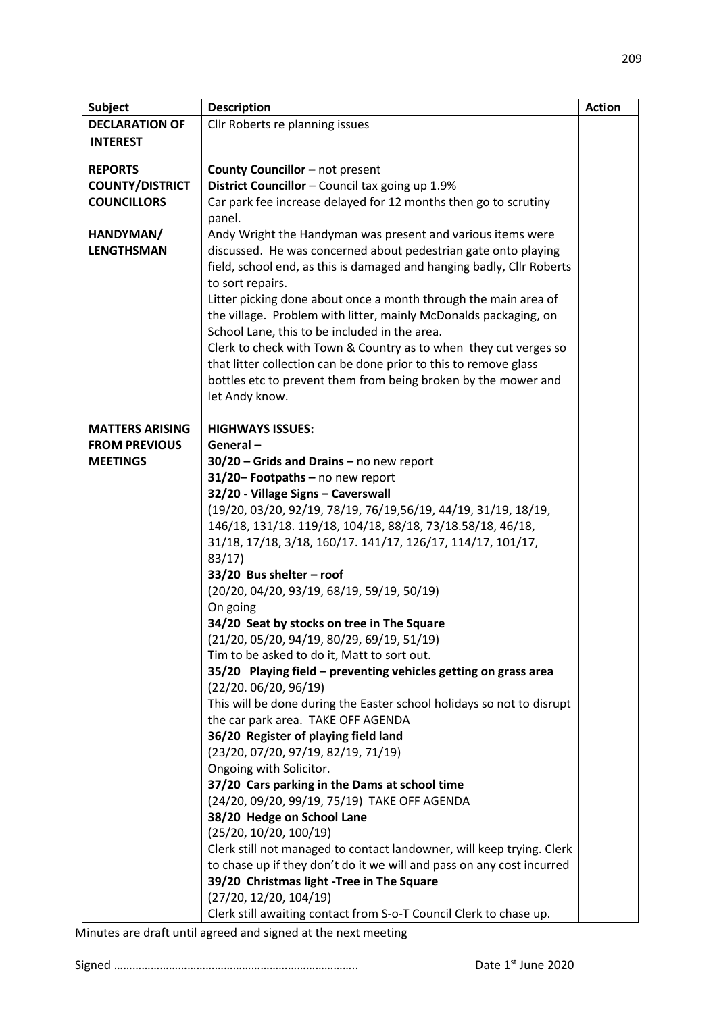| <b>Subject</b>         | <b>Description</b>                                                                                    | <b>Action</b> |
|------------------------|-------------------------------------------------------------------------------------------------------|---------------|
| <b>DECLARATION OF</b>  | Cllr Roberts re planning issues                                                                       |               |
| <b>INTEREST</b>        |                                                                                                       |               |
|                        |                                                                                                       |               |
| <b>REPORTS</b>         | County Councillor - not present                                                                       |               |
| <b>COUNTY/DISTRICT</b> | District Councillor - Council tax going up 1.9%                                                       |               |
| <b>COUNCILLORS</b>     | Car park fee increase delayed for 12 months then go to scrutiny                                       |               |
|                        | panel.                                                                                                |               |
| HANDYMAN/              | Andy Wright the Handyman was present and various items were                                           |               |
| <b>LENGTHSMAN</b>      | discussed. He was concerned about pedestrian gate onto playing                                        |               |
|                        | field, school end, as this is damaged and hanging badly, Cllr Roberts                                 |               |
|                        | to sort repairs.                                                                                      |               |
|                        | Litter picking done about once a month through the main area of                                       |               |
|                        | the village. Problem with litter, mainly McDonalds packaging, on                                      |               |
|                        | School Lane, this to be included in the area.                                                         |               |
|                        | Clerk to check with Town & Country as to when they cut verges so                                      |               |
|                        | that litter collection can be done prior to this to remove glass                                      |               |
|                        | bottles etc to prevent them from being broken by the mower and                                        |               |
|                        | let Andy know.                                                                                        |               |
|                        |                                                                                                       |               |
| <b>MATTERS ARISING</b> | <b>HIGHWAYS ISSUES:</b>                                                                               |               |
| <b>FROM PREVIOUS</b>   | General-                                                                                              |               |
| <b>MEETINGS</b>        | $30/20$ – Grids and Drains – no new report                                                            |               |
|                        | 31/20- Footpaths - no new report                                                                      |               |
|                        | 32/20 - Village Signs - Caverswall<br>(19/20, 03/20, 92/19, 78/19, 76/19, 56/19, 44/19, 31/19, 18/19, |               |
|                        | 146/18, 131/18. 119/18, 104/18, 88/18, 73/18.58/18, 46/18,                                            |               |
|                        | 31/18, 17/18, 3/18, 160/17. 141/17, 126/17, 114/17, 101/17,                                           |               |
|                        | 83/17                                                                                                 |               |
|                        | 33/20 Bus shelter - roof                                                                              |               |
|                        | (20/20, 04/20, 93/19, 68/19, 59/19, 50/19)                                                            |               |
|                        | On going                                                                                              |               |
|                        | 34/20 Seat by stocks on tree in The Square                                                            |               |
|                        | (21/20, 05/20, 94/19, 80/29, 69/19, 51/19)                                                            |               |
|                        | Tim to be asked to do it, Matt to sort out.                                                           |               |
|                        | 35/20 Playing field - preventing vehicles getting on grass area                                       |               |
|                        | (22/20.06/20, 96/19)                                                                                  |               |
|                        | This will be done during the Easter school holidays so not to disrupt                                 |               |
|                        | the car park area. TAKE OFF AGENDA                                                                    |               |
|                        | 36/20 Register of playing field land                                                                  |               |
|                        | (23/20, 07/20, 97/19, 82/19, 71/19)                                                                   |               |
|                        | Ongoing with Solicitor.                                                                               |               |
|                        | 37/20 Cars parking in the Dams at school time                                                         |               |
|                        | (24/20, 09/20, 99/19, 75/19) TAKE OFF AGENDA                                                          |               |
|                        | 38/20 Hedge on School Lane                                                                            |               |
|                        | (25/20, 10/20, 100/19)                                                                                |               |
|                        | Clerk still not managed to contact landowner, will keep trying. Clerk                                 |               |
|                        | to chase up if they don't do it we will and pass on any cost incurred                                 |               |
|                        | 39/20 Christmas light -Tree in The Square                                                             |               |
|                        | (27/20, 12/20, 104/19)                                                                                |               |
|                        | Clerk still awaiting contact from S-o-T Council Clerk to chase up.                                    |               |

Minutes are draft until agreed and signed at the next meeting